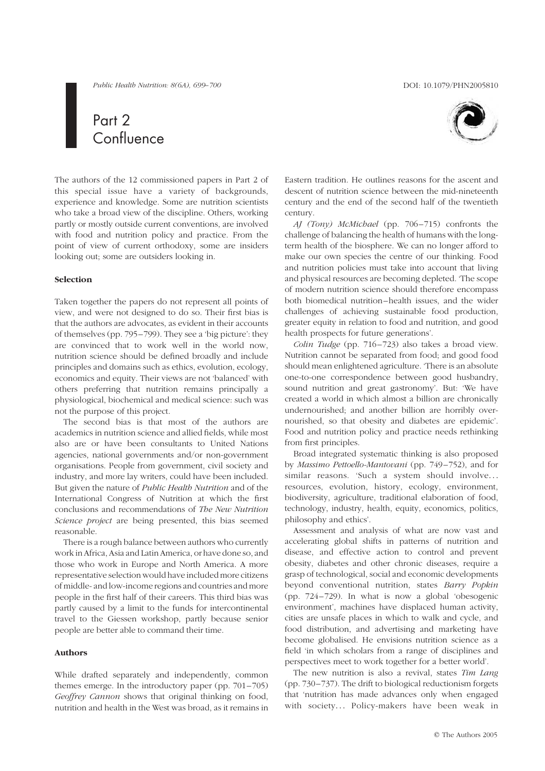Public Health Nutrition: 8(6A), 699-700 DOI: 10.1079/PHN2005810

# Part 2 **Confluence**

The authors of the 12 commissioned papers in Part 2 of this special issue have a variety of backgrounds, experience and knowledge. Some are nutrition scientists who take a broad view of the discipline. Others, working partly or mostly outside current conventions, are involved with food and nutrition policy and practice. From the point of view of current orthodoxy, some are insiders looking out; some are outsiders looking in.

### Selection

Taken together the papers do not represent all points of view, and were not designed to do so. Their first bias is that the authors are advocates, as evident in their accounts of themselves (pp. 795–799). They see a 'big picture': they are convinced that to work well in the world now, nutrition science should be defined broadly and include principles and domains such as ethics, evolution, ecology, economics and equity. Their views are not 'balanced' with others preferring that nutrition remains principally a physiological, biochemical and medical science: such was not the purpose of this project.

The second bias is that most of the authors are academics in nutrition science and allied fields, while most also are or have been consultants to United Nations agencies, national governments and/or non-government organisations. People from government, civil society and industry, and more lay writers, could have been included. But given the nature of Public Health Nutrition and of the International Congress of Nutrition at which the first conclusions and recommendations of The New Nutrition Science project are being presented, this bias seemed reasonable.

There is a rough balance between authors who currently work in Africa, Asia and Latin America, or have done so, and those who work in Europe and North America. A more representative selection would have included more citizens of middle- and low-income regions and countries and more people in the first half of their careers. This third bias was partly caused by a limit to the funds for intercontinental travel to the Giessen workshop, partly because senior people are better able to command their time.

## Authors

While drafted separately and independently, common themes emerge. In the introductory paper (pp. 701–705) Geoffrey Cannon shows that original thinking on food, nutrition and health in the West was broad, as it remains in



Eastern tradition. He outlines reasons for the ascent and descent of nutrition science between the mid-nineteenth century and the end of the second half of the twentieth century.

AJ (Tony) McMichael (pp. 706–715) confronts the challenge of balancing the health of humans with the longterm health of the biosphere. We can no longer afford to make our own species the centre of our thinking. Food and nutrition policies must take into account that living and physical resources are becoming depleted. 'The scope of modern nutrition science should therefore encompass both biomedical nutrition –health issues, and the wider challenges of achieving sustainable food production, greater equity in relation to food and nutrition, and good health prospects for future generations'.

Colin Tudge (pp. 716–723) also takes a broad view. Nutrition cannot be separated from food; and good food should mean enlightened agriculture. 'There is an absolute one-to-one correspondence between good husbandry, sound nutrition and great gastronomy'. But: 'We have created a world in which almost a billion are chronically undernourished; and another billion are horribly overnourished, so that obesity and diabetes are epidemic'. Food and nutrition policy and practice needs rethinking from first principles.

Broad integrated systematic thinking is also proposed by Massimo Pettoello-Mantovani (pp. 749–752), and for similar reasons. 'Such a system should involve... resources, evolution, history, ecology, environment, biodiversity, agriculture, traditional elaboration of food, technology, industry, health, equity, economics, politics, philosophy and ethics'.

Assessment and analysis of what are now vast and accelerating global shifts in patterns of nutrition and disease, and effective action to control and prevent obesity, diabetes and other chronic diseases, require a grasp of technological, social and economic developments beyond conventional nutrition, states Barry Popkin (pp. 724–729). In what is now a global 'obesogenic environment', machines have displaced human activity, cities are unsafe places in which to walk and cycle, and food distribution, and advertising and marketing have become globalised. He envisions nutrition science as a field 'in which scholars from a range of disciplines and perspectives meet to work together for a better world'.

The new nutrition is also a revival, states Tim Lang (pp. 730–737). The drift to biological reductionism forgets that 'nutrition has made advances only when engaged with society... Policy-makers have been weak in